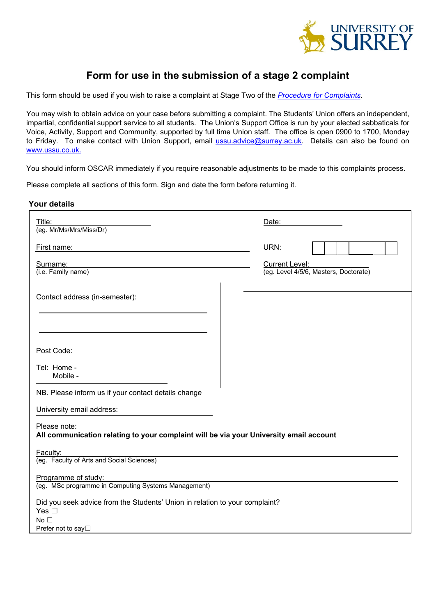

# **Form for use in the submission of a stage 2 complaint**

This form should be used if you wish to raise a complaint at Stage Two of the *[Procedure for Complaints](http://www.surrey.ac.uk/oscar)*.

You may wish to obtain advice on your case before submitting a complaint. The Students' Union offers an independent, impartial, confidential support service to all students. The Union's Support Office is run by your elected sabbaticals for Voice, Activity, Support and Community, supported by full time Union staff. The office is open 0900 to 1700, Monday to Friday. To make contact with Union Support, email [ussu.advice@surrey.ac.uk.](mailto:ussu.advice@surrey.ac.uk) Details can also be found on [www.ussu.co.uk.](http://www.ussu.co.uk/)

You should inform OSCAR immediately if you require reasonable adjustments to be made to this complaints process.

Please complete all sections of this form. Sign and date the form before returning it.

#### **Your details**

| Title:<br>(eg. Mr/Ms/Mrs/Miss/Dr)                                                                      | Date:                                 |
|--------------------------------------------------------------------------------------------------------|---------------------------------------|
| First name:                                                                                            | URN:                                  |
| Surname:                                                                                               | <b>Current Level:</b>                 |
| (i.e. Family name)                                                                                     | (eg. Level 4/5/6, Masters, Doctorate) |
| Contact address (in-semester):                                                                         |                                       |
|                                                                                                        |                                       |
| Post Code:                                                                                             |                                       |
| Tel: Home -<br>Mobile -                                                                                |                                       |
| NB. Please inform us if your contact details change                                                    |                                       |
| University email address:                                                                              |                                       |
| Please note:<br>All communication relating to your complaint will be via your University email account |                                       |
| Faculty:<br>(eg. Faculty of Arts and Social Sciences)                                                  |                                       |
| Programme of study:                                                                                    |                                       |
| (eg. MSc programme in Computing Systems Management)                                                    |                                       |
| Did you seek advice from the Students' Union in relation to your complaint?<br>Yes $\square$           |                                       |
| No <sub>1</sub><br>Prefer not to say□                                                                  |                                       |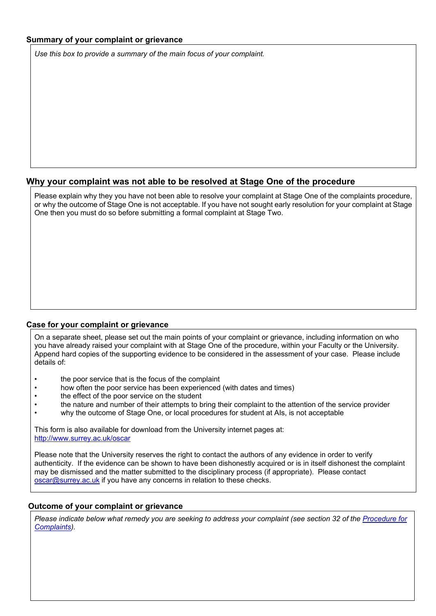## **Summary of your complaint or grievance**

*Use this box to provide a summary of the main focus of your complaint.* 

# **Why your complaint was not able to be resolved at Stage One of the procedure**

Please explain why they you have not been able to resolve your complaint at Stage One of the complaints procedure, or why the outcome of Stage One is not acceptable. If you have not sought early resolution for your complaint at Stage One then you must do so before submitting a formal complaint at Stage Two.

### **Case for your complaint or grievance**

On a separate sheet, please set out the main points of your complaint or grievance, including information on who you have already raised your complaint with at Stage One of the procedure, within your Faculty or the University. Append hard copies of the supporting evidence to be considered in the assessment of your case. Please include details of:

- the poor service that is the focus of the complaint
- how often the poor service has been experienced (with dates and times)
- the effect of the poor service on the student
- the nature and number of their attempts to bring their complaint to the attention of the service provider
- why the outcome of Stage One, or local procedures for student at AIs, is not acceptable

This form is also available for download from the University internet pages at: <http://www.surrey.ac.uk/oscar>

Please note that the University reserves the right to contact the authors of any evidence in order to verify authenticity. If the evidence can be shown to have been dishonestly acquired or is in itself dishonest the complaint may be dismissed and the matter submitted to the disciplinary process (if appropriate). Please contact [oscar@surrey.ac.uk](mailto:oscar@surrey.ac.uk) if you have any concerns in relation to these checks.

### **Outcome of your complaint or grievance**

*Please indicate below what remedy you are seeking to address your complaint (see section 32 of the [Procedure for](http://www.surrey.ac.uk/oscar)  [Complaints\)](http://www.surrey.ac.uk/oscar).*